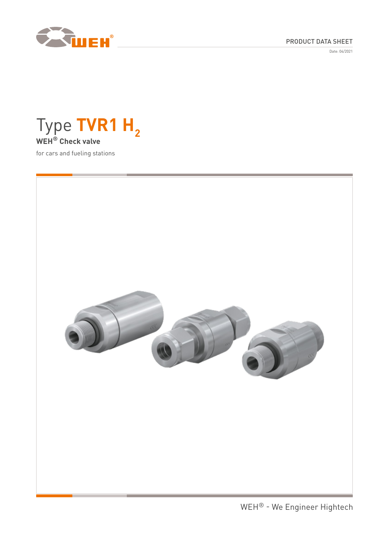

# PRODUCT DATA SHEET

Date: 04/2021



for cars and fueling stations

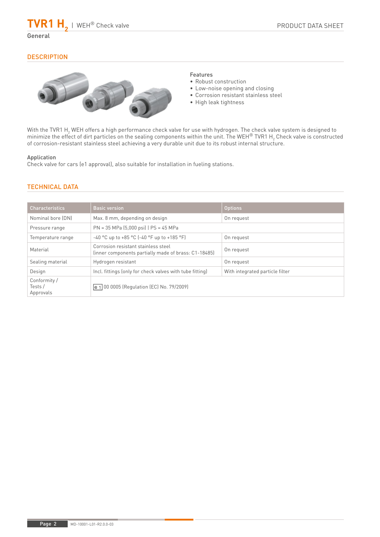## General

## **DESCRIPTION**



### Features

- Robust construction
- Low-noise opening and closing
- Corrosion resistant stainless steel
- High leak tightness

With the TVR1 H<sub>2</sub> WEH offers a high performance check valve for use with hydrogen. The check valve system is designed to minimize the effect of dirt particles on the sealing components within the unit. The WEH® TVR1 H<sub>2</sub> Check valve is constructed of corrosion-resistant stainless steel achieving a very durable unit due to its robust internal structure.

### Application

Check valve for cars (e1 approval), also suitable for installation in fueling stations.

# TECHNICAL DATA

| <b>Characteristics</b>              | <b>Basic version</b>                                                                        | <b>Options</b>                  |
|-------------------------------------|---------------------------------------------------------------------------------------------|---------------------------------|
| Nominal bore (DN)                   | Max. 8 mm, depending on design                                                              | On request                      |
| Pressure range                      | $PN = 35 MPa (5,000 psi)$   $PS = 45 MPa$                                                   |                                 |
| Temperature range                   | $-40$ °C up to $+85$ °C ( $-40$ °F up to $+185$ °F)                                         | On request                      |
| Material                            | Corrosion resistant stainless steel<br>(inner components partially made of brass: C1-18485) | On request                      |
| Sealing material                    | Hydrogen resistant                                                                          | On request                      |
| Design                              | Incl. fittings (only for check valves with tube fitting)                                    | With integrated particle filter |
| Conformity /<br>Tests/<br>Approvals | e 1 00 0005 (Regulation (EC) No. 79/2009)                                                   |                                 |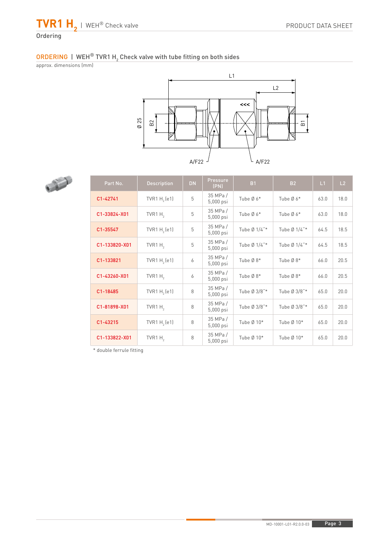

# ORDERING | WEH® TVR1 H<sub>2</sub> Check valve with tube fitting on both sides

approx. dimensions (mm)





| Part No.      | <b>Description</b> | <b>DN</b> | <b>Pressure</b><br>(PN) | <b>B1</b>    | <b>B2</b>    | L1   | L2   |
|---------------|--------------------|-----------|-------------------------|--------------|--------------|------|------|
| C1-42741      | TVR1 $H2$ (e1)     | 5         | 35 MPa /<br>5,000 psi   | Tube Ø 6*    | Tube $Ø 6*$  | 63.0 | 18.0 |
| C1-33824-X01  | TVR1 $H2$          | 5         | 35 MPa /<br>5,000 psi   | Tube Ø 6*    | Tube $Ø 6*$  | 63.0 | 18.0 |
| C1-35547      | TVR1 $H2$ (e1)     | 5         | 35 MPa /<br>5,000 psi   | Tube Ø 1/4"* | Tube Ø 1/4"* | 64.5 | 18.5 |
| C1-133820-X01 | TVR1 $H2$          | 5         | 35 MPa /<br>5,000 psi   | Tube Ø 1/4"* | Tube Ø 1/4"* | 64.5 | 18.5 |
| C1-133821     | TVR1 $H2$ (e1)     | 6         | 35 MPa /<br>5,000 psi   | Tube Ø8*     | Tube Ø8*     | 66.0 | 20.5 |
| C1-43260-X01  | TVR1H <sub>2</sub> | 6         | 35 MPa /<br>5,000 psi   | Tube Ø8*     | Tube Ø8*     | 66.0 | 20.5 |
| C1-18485      | TVR1 $H2$ (e1)     | 8         | 35 MPa /<br>5,000 psi   | Tube Ø 3/8"* | Tube Ø 3/8"* | 65.0 | 20.0 |
| C1-81898-X01  | TVR1 $H2$          | 8         | 35 MPa /<br>5,000 psi   | Tube Ø 3/8"* | Tube Ø 3/8"* | 65.0 | 20.0 |
| C1-43215      | TVR1 $H2$ (e1)     | 8         | 35 MPa /<br>5,000 psi   | Tube Ø 10*   | Tube Ø 10*   | 65.0 | 20.0 |
| C1-133822-X01 | TVR1 $H2$          | 8         | 35 MPa /<br>5,000 psi   | Tube Ø 10*   | Tube Ø 10*   | 65.0 | 20.0 |

\* double ferrule fitting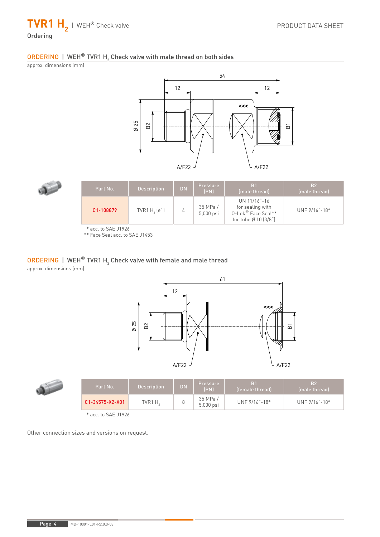**TVR1 H2** | WEH® Check valve

# Ordering

# ORDERING | WEH® TVR1 H $_{\rm 2}$  Check valve with male thread on both sides

approx. dimensions (mm)





| Part No.  | <b>Description</b> | <b>DN</b> | <b>Pressure</b><br>(PN) | B <sub>1</sub><br>(male thread)                                                | <b>B2</b><br>(male thread) |
|-----------|--------------------|-----------|-------------------------|--------------------------------------------------------------------------------|----------------------------|
| C1-108879 | TVR1 $H2$ (e1)     |           | 35 MPa/<br>5,000 psi    | UN 11/16"-16<br>for sealing with<br>0-Lok® Face Seal**<br>for tube Ø 10 [3/8"] | UNF 9/16"-18*              |

\* acc. to SAE J1926

\*\* Face Seal acc. to SAE J1453

# $\mathsf{ORDERING}$  | WEH $^\circledR$  TVR1 H<sub>2</sub> Check valve with female and male thread

approx. dimensions (mm)



|  | Part No.                        | Description, | <b>DN</b> | Pressure<br>(PN)     | (female thread) | <b>B2</b><br>(male thread) |
|--|---------------------------------|--------------|-----------|----------------------|-----------------|----------------------------|
|  | C1-34575-X2-X01                 | $TVR1H_2$    |           | 35 MPa/<br>5,000 psi | UNF 9/16"-18*   | UNF 9/16"-18*              |
|  | $*$ $  +$ $ C$ $A$ $T$ $ 14001$ |              |           |                      |                 |                            |

acc. to SAE J1926

Other connection sizes and versions on request.